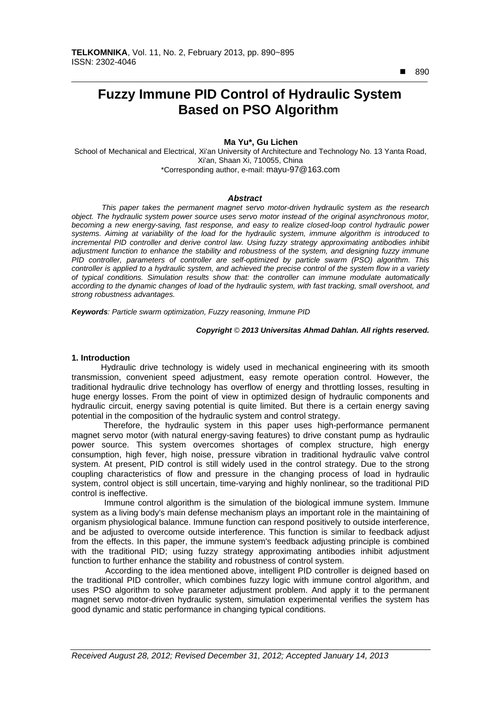$890$ 

 $\overline{a}$ 

# **Fuzzy Immune PID Control of Hydraulic System Based on PSO Algorithm**

## **Ma Yu\*, Gu Lichen**

School of Mechanical and Electrical, Xi'an University of Architecture and Technology No. 13 Yanta Road, Xi'an, Shaan Xi, 710055, China \*Corresponding author, e-mail: mayu-97@163.com

## *Abstract*

*This paper takes the permanent magnet servo motor-driven hydraulic system as the research object. The hydraulic system power source uses servo motor instead of the original asynchronous motor, becoming a new energy-saving, fast response, and easy to realize closed-loop control hydraulic power systems. Aiming at variability of the load for the hydraulic system, immune algorithm is introduced to*  incremental PID controller and derive control law. Using fuzzy strategy approximating antibodies inhibit *adjustment function to enhance the stability and robustness of the system, and designing fuzzy immune PID controller, parameters of controller are self-optimized by particle swarm (PSO) algorithm. This controller is applied to a hydraulic system, and achieved the precise control of the system flow in a variety of typical conditions. Simulation results show that: the controller can immune modulate automatically according to the dynamic changes of load of the hydraulic system, with fast tracking, small overshoot, and strong robustness advantages.* 

*Keywords: Particle swarm optimization, Fuzzy reasoning, Immune PID* 

#### *Copyright* © *2013 Universitas Ahmad Dahlan. All rights reserved.*

## **1. Introduction**

Hydraulic drive technology is widely used in mechanical engineering with its smooth transmission, convenient speed adjustment, easy remote operation control. However, the traditional hydraulic drive technology has overflow of energy and throttling losses, resulting in huge energy losses. From the point of view in optimized design of hydraulic components and hydraulic circuit, energy saving potential is quite limited. But there is a certain energy saving potential in the composition of the hydraulic system and control strategy.

Therefore, the hydraulic system in this paper uses high-performance permanent magnet servo motor (with natural energy-saving features) to drive constant pump as hydraulic power source. This system overcomes shortages of complex structure, high energy consumption, high fever, high noise, pressure vibration in traditional hydraulic valve control system. At present, PID control is still widely used in the control strategy. Due to the strong coupling characteristics of flow and pressure in the changing process of load in hydraulic system, control object is still uncertain, time-varying and highly nonlinear, so the traditional PID control is ineffective.

 Immune control algorithm is the simulation of the biological immune system. Immune system as a living body's main defense mechanism plays an important role in the maintaining of organism physiological balance. Immune function can respond positively to outside interference, and be adjusted to overcome outside interference. This function is similar to feedback adjust from the effects. In this paper, the immune system's feedback adjusting principle is combined with the traditional PID; using fuzzy strategy approximating antibodies inhibit adjustment function to further enhance the stability and robustness of control system.

According to the idea mentioned above, intelligent PID controller is deigned based on the traditional PID controller, which combines fuzzy logic with immune control algorithm, and uses PSO algorithm to solve parameter adjustment problem. And apply it to the permanent magnet servo motor-driven hydraulic system, simulation experimental verifies the system has good dynamic and static performance in changing typical conditions.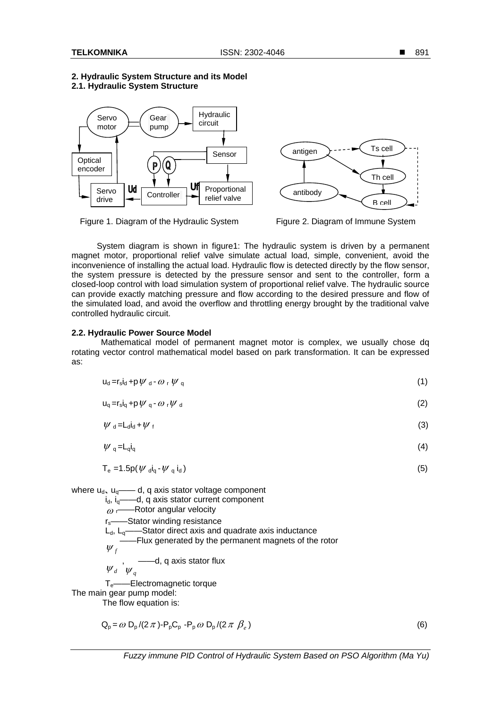## **2. Hydraulic System Structure and its Model 2.1. Hydraulic System Structure**



Figure 1. Diagram of the Hydraulic System Figure 2. Diagram of Immune System



System diagram is shown in figure1: The hydraulic system is driven by a permanent magnet motor, proportional relief valve simulate actual load, simple, convenient, avoid the inconvenience of installing the actual load. Hydraulic flow is detected directly by the flow sensor, the system pressure is detected by the pressure sensor and sent to the controller, form a closed-loop control with load simulation system of proportional relief valve. The hydraulic source can provide exactly matching pressure and flow according to the desired pressure and flow of the simulated load, and avoid the overflow and throttling energy brought by the traditional valve controlled hydraulic circuit.

## **2.2. Hydraulic Power Source Model**

Mathematical model of permanent magnet motor is complex, we usually chose dq rotating vector control mathematical model based on park transformation. It can be expressed as:

$$
u_d = r_s i_d + p \psi_d - \omega_r \psi_q
$$
 (1)

$$
u_q = r_s i_q + p \psi_q - \omega_r \psi_d \tag{2}
$$

$$
\psi_{d} = L_{d} I_{d} + \psi_{f}
$$
 (3)

$$
\psi_{q} = L_{q} i_{q} \tag{4}
$$

$$
T_e = 1.5p(\psi_{\text{d}} i_q - \psi_q i_d) \tag{5}
$$

where  $u_{d}$ ,  $u_{q}$ —— d, q axis stator voltage component i<sub>d</sub>, i<sub>q</sub>——d, q axis stator current component

 $\omega$ <sub>r</sub>——Rotor angular velocity rs——Stator winding resistance  $L_d$ ,  $L_d$ ——Stator direct axis and quadrate axis inductance  $\psi_f$ ——Flux generated by the permanent magnets of the rotor  $\mathbf{W}_d$  ,  $\mathbf{W}_q$ ——d, q axis stator flux Te——Electromagnetic torque The main gear pump model:

The flow equation is:

$$
Q_p = \omega D_p / (2 \pi) - P_p C_p - P_p \omega D_p / (2 \pi \beta_e)
$$
 (6)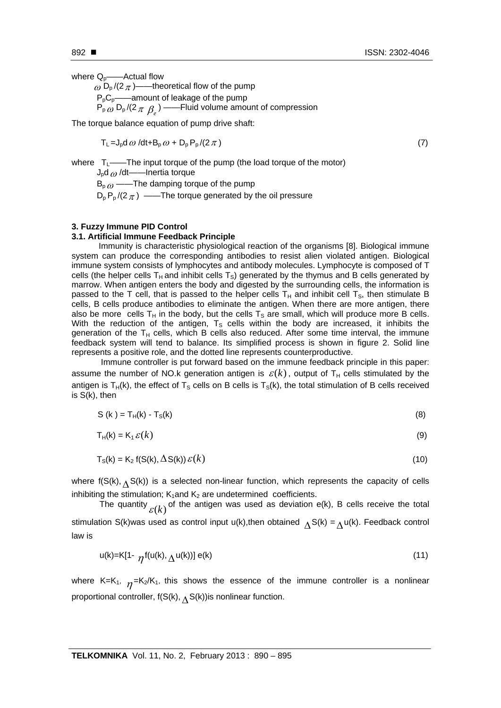where  $Q_p$ ——Actual flow

 $\omega$  D<sub>p</sub>/(2 $\pi$ )——theoretical flow of the pump  $P_pC_p$ ——amount of leakage of the pump  $\mathsf{P}_{\mathsf{p}\,\mathit{w}}\,\mathsf{D}_{\mathsf{p}}/ (2\,\pi\,\beta_{\mathit{e}})$  ——Fluid volume amount of compression

The torque balance equation of pump drive shaft:

$$
T_{L} = J_{p} d \omega / dt + B_{p} \omega + D_{p} P_{p} / (2 \pi)
$$
\n
$$
\tag{7}
$$

where  $T_1$ ——The input torque of the pump (the load torque of the motor)

 $J_{p}d_{\theta}$  /dt——Inertia torque

 $B_{p\omega}$  ——The damping torque of the pump  $D_p P_p / (2 \pi)$  ——The torque generated by the oil pressure

## **3. Fuzzy Immune PID Control**

## **3.1. Artificial Immune Feedback Principle**

Immunity is characteristic physiological reaction of the organisms [8]. Biological immune system can produce the corresponding antibodies to resist alien violated antigen. Biological immune system consists of lymphocytes and antibody molecules. Lymphocyte is composed of T cells (the helper cells  $T_H$  and inhibit cells  $T_S$ ) generated by the thymus and B cells generated by marrow. When antigen enters the body and digested by the surrounding cells, the information is passed to the T cell, that is passed to the helper cells  $T_H$  and inhibit cell  $T_S$ , then stimulate B cells, B cells produce antibodies to eliminate the antigen. When there are more antigen, there also be more cells  $T_H$  in the body, but the cells  $T_S$  are small, which will produce more B cells. With the reduction of the antigen,  $T<sub>S</sub>$  cells within the body are increased, it inhibits the generation of the  $T_H$  cells, which B cells also reduced. After some time interval, the immune feedback system will tend to balance. Its simplified process is shown in figure 2. Solid line represents a positive role, and the dotted line represents counterproductive.

Immune controller is put forward based on the immune feedback principle in this paper: assume the number of NO.k generation antigen is  $\varepsilon(k)$ , output of T<sub>H</sub> cells stimulated by the antigen is  $T_H(k)$ , the effect of T<sub>S</sub> cells on B cells is T<sub>S</sub>(k), the total stimulation of B cells received is S(k), then

$$
S(k) = T_H(k) - T_S(k)
$$
 (8)

$$
T_H(k) = K_1 \, \varepsilon(k) \tag{9}
$$

$$
T_S(k) = K_2 f(S(k), \Delta S(k)) \varepsilon(k)
$$
\n(10)

where  $f(S(k),\Lambda S(k))$  is a selected non-linear function, which represents the capacity of cells inhibiting the stimulation;  $K_1$  and  $K_2$  are undetermined coefficients.

The quantity  $\varepsilon(k)$  of the antigen was used as deviation e(k), B cells receive the total stimulation S(k)was used as control input u(k), then obtained  $\Lambda S(k) = \Lambda u(k)$ . Feedback control law is

$$
u(k)=K[1-\eta f(u(k),\Delta u(k))]e(k)
$$
\n(11)

where K=K<sub>1</sub>,  $\eta$ =K<sub>2</sub>/K<sub>1</sub>, this shows the essence of the immune controller is a nonlinear proportional controller,  $f(S(k), \triangle S(k))$ is nonlinear function.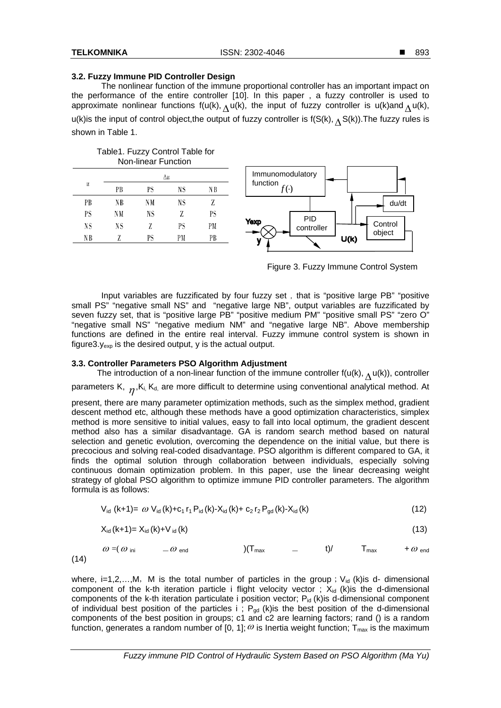N B

## **3.2. Fuzzy Immune PID Controller Design**

The nonlinear function of the immune proportional controller has an important impact on the performance of the entire controller [10]. In this paper , a fuzzy controller is used to approximate nonlinear functions f(u(k),  $\Lambda$ u(k), the input of fuzzy controller is u(k)and  $\Lambda$ u(k), u(k)is the input of control object, the output of fuzzy controller is  $f(S(k),\Lambda S(k))$ . The fuzzy rules is shown in Table 1.

| Table1. Fuzzy Control Table for<br>Non-linear Function |    |    |    |    |
|--------------------------------------------------------|----|----|----|----|
| u                                                      | Δu |    |    |    |
|                                                        | PВ | PS | NS | NΒ |
| PВ                                                     | NΒ | NM | NS | Z  |
| PS                                                     | NΜ | NS | Z  | PS |
| NS                                                     | NS | Z  | РS | РM |

PS

Z



Figure 3. Fuzzy Immune Control System

Input variables are fuzzificated by four fuzzy set, that is "positive large PB" "positive small PS" "negative small NS" and "negative large NB", output variables are fuzzificated by seven fuzzy set, that is "positive large PB" "positive medium PM" "positive small PS" "zero O" "negative small NS" "negative medium NM" and "negative large NB". Above membership functions are defined in the entire real interval. Fuzzy immune control system is shown in figure3. $y_{exp}$  is the desired output, y is the actual output.

# **3.3. Controller Parameters PSO Algorithm Adjustment**

PM

PB

The introduction of a non-linear function of the immune controller  $f(u(k),\Lambda u(k))$ , controller parameters K,  $n, K_i, K_d$ , are more difficult to determine using conventional analytical method. At present, there are many parameter optimization methods, such as the simplex method, gradient descent method etc, although these methods have a good optimization characteristics, simplex method is more sensitive to initial values, easy to fall into local optimum, the gradient descent method also has a similar disadvantage. GA is random search method based on natural selection and genetic evolution, overcoming the dependence on the initial value, but there is precocious and solving real-coded disadvantage. PSO algorithm is different compared to GA, it

finds the optimal solution through collaboration between individuals, especially solving continuous domain optimization problem. In this paper, use the linear decreasing weight strategy of global PSO algorithm to optimize immune PID controller parameters. The algorithm formula is as follows:

$$
V_{id} (k+1) = \omega V_{id} (k) + c_1 r_1 P_{id} (k) - X_{id} (k) + c_2 r_2 P_{gd} (k) - X_{id} (k)
$$
\n(12)

$$
X_{id} (k+1) = X_{id} (k) + V_{id} (k)
$$
 (13)

$$
\omega = (\omega_{\text{ini}} \qquad \quad -\omega_{\text{end}} \qquad \qquad ) (\mathsf{T}_{\text{max}} \qquad \quad - \qquad \mathsf{t}) / \qquad \mathsf{T}_{\text{max}} \qquad \quad +\omega_{\text{end}}
$$

where, i=1,2,...,M, M is the total number of particles in the group;  $V_{id}$  (k)is d- dimensional component of the k-th iteration particle i flight velocity vector ;  $X_{id}$  (k)is the d-dimensional components of the k-th iteration particulate i position vector;  $P_{id}$  (k)is d-dimensional component of individual best position of the particles i;  $P_{gd}$  (k)is the best position of the d-dimensional components of the best position in groups; c1 and c2 are learning factors; rand () is a random function, generates a random number of [0, 1];  $\omega$  is Inertia weight function; T<sub>max</sub> is the maximum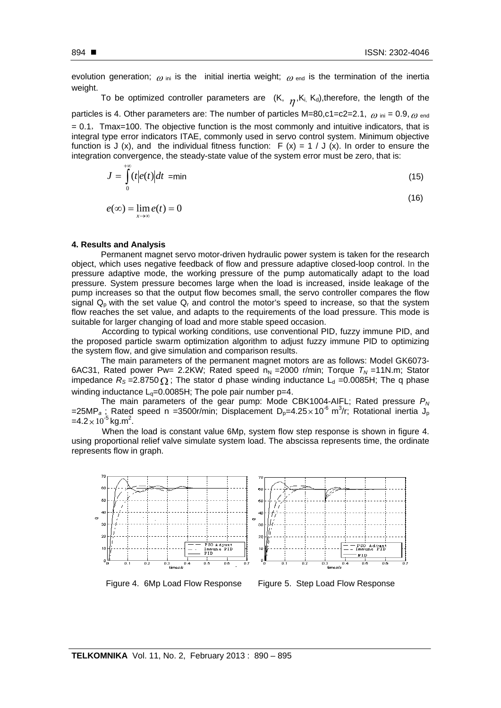evolution generation;  $\omega_{\text{ini}}$  is the initial inertia weight;  $\omega_{\text{end}}$  is the termination of the inertia weight.

To be optimized controller parameters are  $(K, \eta, K_i, K_d)$ , therefore, the length of the particles is 4. Other parameters are: The number of particles M=80,c1=c2=2.1,  $\omega$  ini = 0.9,  $\omega$  end  $= 0.1$ , Tmax=100. The objective function is the most commonly and intuitive indicators, that is integral type error indicators ITAE, commonly used in servo control system. Minimum objective function is J (x), and the individual fitness function: F (x) = 1 / J (x). In order to ensure the integration convergence, the steady-state value of the system error must be zero, that is:

$$
J = \int_{0}^{+\infty} (t|e(t)|dt) = \min \tag{15}
$$

$$
e(\infty) = \lim_{x \to \infty} e(t) = 0
$$
\n(16)

#### **4. Results and Analysis**

Permanent magnet servo motor-driven hydraulic power system is taken for the research object, which uses negative feedback of flow and pressure adaptive closed-loop control. In the pressure adaptive mode, the working pressure of the pump automatically adapt to the load pressure. System pressure becomes large when the load is increased, inside leakage of the pump increases so that the output flow becomes small, the servo controller compares the flow signal  $Q_p$  with the set value  $Q_r$  and control the motor's speed to increase, so that the system flow reaches the set value, and adapts to the requirements of the load pressure. This mode is suitable for larger changing of load and more stable speed occasion.

 According to typical working conditions, use conventional PID, fuzzy immune PID, and the proposed particle swarm optimization algorithm to adjust fuzzy immune PID to optimizing the system flow, and give simulation and comparison results.

The main parameters of the permanent magnet motors are as follows: Model GK6073- 6AC31, Rated power Pw= 2.2KW; Rated speed  $n_N$  =2000 r/min; Torque  $T_N$  =11N.m; Stator impedance  $R_s = 2.8750 \Omega$ ; The stator d phase winding inductance L<sub>d</sub> =0.0085H; The q phase winding inductance  $L<sub>0</sub>=0.0085H$ ; The pole pair number p=4.

The main parameters of the gear pump: Mode CBK1004-AIFL; Rated pressure *PN*  =25MP<sub>a</sub>; Rated speed n =3500r/min; Displacement D<sub>p</sub>=4.25 $\times$ 10<sup>-6</sup> m<sup>3</sup>/r; Rotational inertia J<sub>p</sub>  $=4.2\times10^{-5}$  kg.m<sup>2</sup>.

 When the load is constant value 6Mp, system flow step response is shown in figure 4. using proportional relief valve simulate system load. The abscissa represents time, the ordinate represents flow in graph.



Figure 4. 6Mp Load Flow Response Figure 5. Step Load Flow Response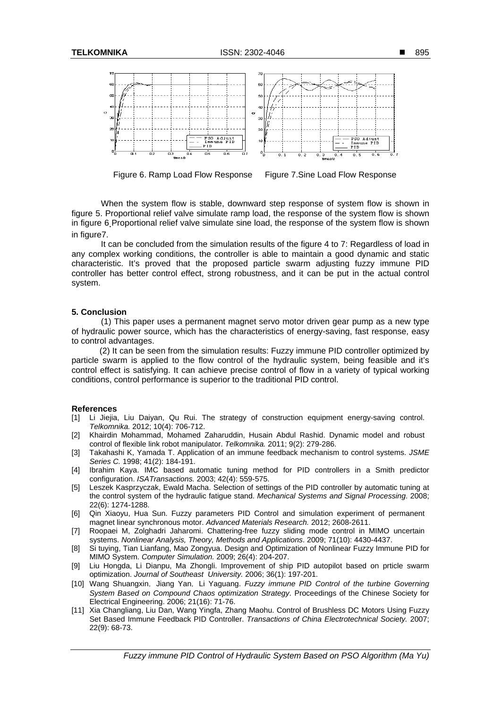

Figure 6. Ramp Load Flow Response Figure 7.Sine Load Flow Response

When the system flow is stable, downward step response of system flow is shown in figure 5. Proportional relief valve simulate ramp load, the response of the system flow is shown in figure 6 Proportional relief valve simulate sine load, the response of the system flow is shown in figure7.

It can be concluded from the simulation results of the figure 4 to 7: Regardless of load in any complex working conditions, the controller is able to maintain a good dynamic and static characteristic. It's proved that the proposed particle swarm adjusting fuzzy immune PID controller has better control effect, strong robustness, and it can be put in the actual control system.

## **5. Conclusion**

(1) This paper uses a permanent magnet servo motor driven gear pump as a new type of hydraulic power source, which has the characteristics of energy-saving, fast response, easy to control advantages.

 (2) It can be seen from the simulation results: Fuzzy immune PID controller optimized by particle swarm is applied to the flow control of the hydraulic system, being feasible and it's control effect is satisfying. It can achieve precise control of flow in a variety of typical working conditions, control performance is superior to the traditional PID control.

#### **References**

- [1] Li Jiejia, Liu Daiyan, Qu Rui. The strategy of construction equipment energy-saving control. *Telkomnika.* 2012; 10(4): 706-712.
- [2] Khairdin Mohammad, Mohamed Zaharuddin, Husain Abdul Rashid. Dynamic model and robust control of flexible link robot manipulator. *Telkomnika.* 2011; 9(2): 279-286.
- [3] Takahashi K, Yamada T. Application of an immune feedback mechanism to control systems. *JSME Series C.* 1998; 41(2): 184-191.
- [4] Ibrahim Kaya. IMC based automatic tuning method for PID controllers in a Smith predictor configuration. *ISATransactions.* 2003; 42(4): 559-575.
- [5] Leszek Kasprzyczak, Ewald Macha. Selection of settings of the PID controller by automatic tuning at the control system of the hydraulic fatigue stand. *Mechanical Systems and Signal Processing*. 2008; 22(6): 1274-1288.
- [6] Qin Xiaoyu, Hua Sun. Fuzzy parameters PID Control and simulation experiment of permanent magnet linear synchronous motor. *Advanced Materials Research.* 2012; 2608-2611.
- [7] Roopaei M, Zolghadri Jaharomi. Chattering-free fuzzy sliding mode control in MIMO uncertain systems. *Nonlinear Analysis, Theory, Methods and Applications*. 2009; 71(10): 4430-4437.
- [8] Si tuying, Tian Lianfang, Mao Zongyua. Design and Optimization of Nonlinear Fuzzy Immune PID for MIMO System. *Computer Simulation.* 2009; 26(4): 204-207.
- [9] Liu Hongda, Li Dianpu, Ma Zhongli. Improvement of ship PID autopilot based on prticle swarm optimization. *Journal of Southeast University.* 2006; 36(1): 197-201.
- [10] Wang Shuangxin, Jiang Yan, Li Yaguang. *Fuzzy immune PID Control of the turbine Governing System Based on Compound Chaos optimization Strategy*. Proceedings of the Chinese Society for Electrical Engineering. 2006; 21(16): 71-76.
- [11] Xia Changliang, Liu Dan, Wang Yingfa, Zhang Maohu. Control of Brushless DC Motors Using Fuzzy Set Based Immune Feedback PID Controller. *Transactions of China Electrotechnical Society.* 2007; 22(9): 68-73.